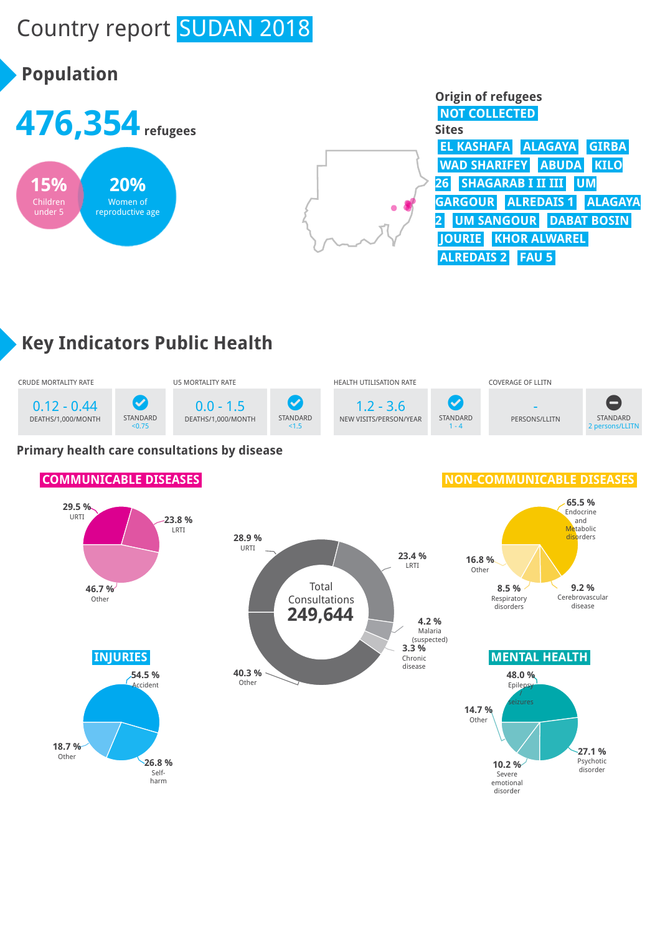# Country report **SUDAN 2018**

## **Population**







## **Key Indicators Public Health**



### **Primary health care consultations by disease**

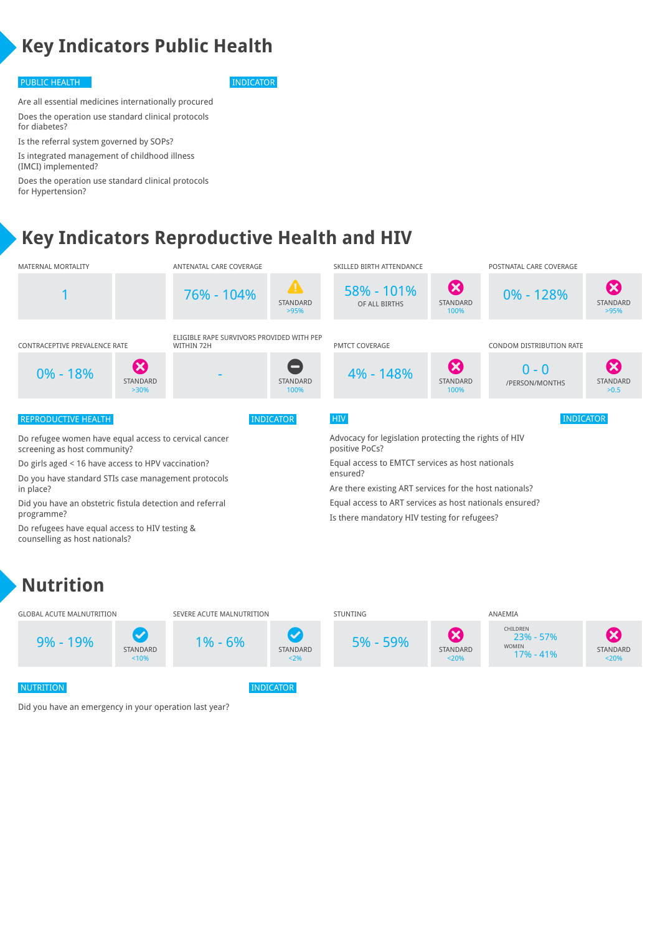## **Key Indicators Public Health**

#### PUBLIC HEALTH INDICATOR

Are all essential medicines internationally procured Does the operation use standard clinical protocols for diabetes?

Is the referral system governed by SOPs? Is integrated management of childhood illness (IMCI) implemented?

Does the operation use standard clinical protocols for Hypertension?

## **Key Indicators Reproductive Health and HIV**



### **Nutrition**



Did you have an emergency in your operation last year?